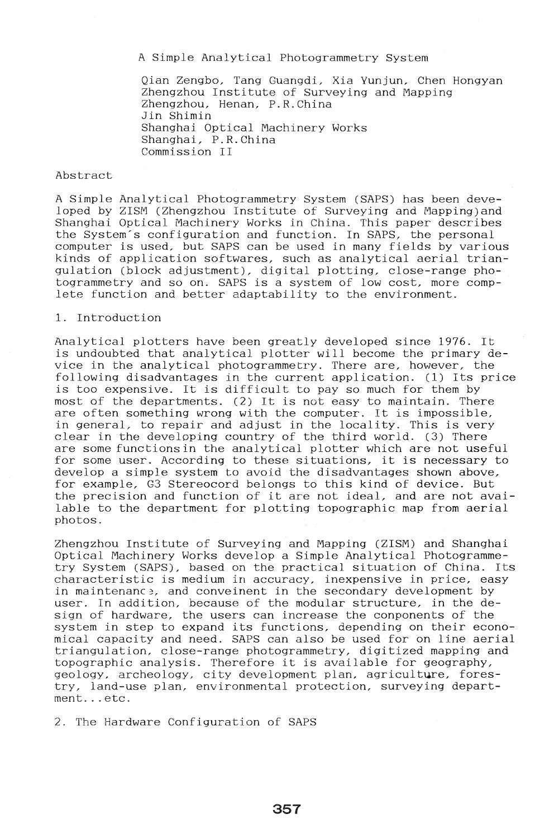A Simple Analytical Photogrammetry System

Qian Zengbo, Tang Guangdi, Xia Yunjun, Chen Hongyan Zhengzhou Institute of Surveying and Mapping Zhengzhou, Henan, P.R.China Jin Shimin Shanghai Optical Machinery Works Shanghai, P.R. China Commission II

#### Abstract

A Simple Analytical Photogramrnetry System (SAPS) has been developed by 2ISM (2hengzhou Institute of Surveying and Mapping)and Shanghai Optical Machinery Works in China. This paper describes the System's configuration and function. In SAPS, the personal computer is used, but SAPS can be used in many fields by various kinds of application softwares, such as analytical aerial triangulation (block adjustment), digital plotting, close-range photogrammetry and so on. SAPS is a system of low cost, more complete function and better adaptability to the environment.

# 1. Introduction

Analytical plotters have been greatly developed since 1976. It is undoubted that analytical plotter will become the primary device in the analytical photogrammetry. There are, however, the following disadvantages in the current application. (1) Its price is too expensive. It is difficult to pay so much for them by most of the departments. (2) It is not easy to maintain. There are often something wrong with the computer. It is impossible, in general, to repair and adjust in the locality. This is very clear in the developing country of the third world. (3) There are some functions in the analytical plotter which are not useful for some user. According to these situations, it is necessary to develop a simple system to avoid the disadvantages shown above, for example, G3 Stereocord belongs to this kind of device. But the precision and function of it are not ideal, and are not available to the department for plotting topographic map from aerial photos.

2hengzhou Institute of Surveying and Mapping (2ISM) and Shanghai Optical Machinery Works develop a Simple Analytical Photogrammetry System (SAPS), based on the practical situation of China. Its characteristic is medium in accuracy, inexpensive in price, easy in maintenance, and conveinent in the secondary development by user. In addition, because of the modular structure, in the design of hardware, the users can increase the conponents of the system in step to expand its functions, depending on their economical capacity and need. SAPS can also be used for on line aerial triangulation, close-range photogrammetry, digitized mapping and topographic analysis. Therefore it is available for geography, geology, archeology, city development plan, agriculture, forestry, land-use plan, environmental protection, surveying department...etc.

2. The Hardware Configuration of SAPS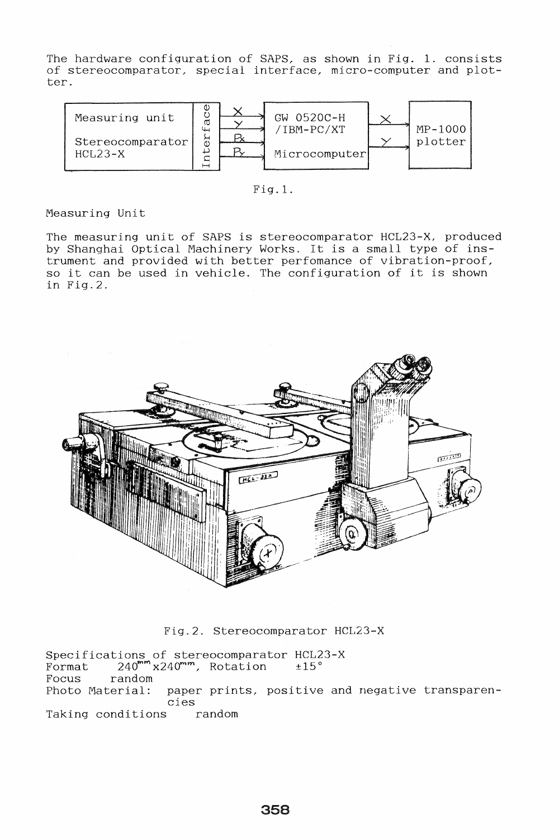The hardware configuration of SAPS, as shown in Fig. 1. consists of stereocomparator, special interface, micro-computer and plotter.



Fig.1.

# Measuring Unit

The measuring unit of SAPS is stereocomparator HCL23-X, produced by Shanghai Optical Machinery Works. It is a small type of instrument and provided with better perfomance of vibration-proof, so it can be used in vehicle. The configuration of it is shown in Fig.2.



Fig.2. Stereocomparator HCL23-X

Specifications of stereocomparator HCL23-X  $\frac{1}{240^{mm}}$   $\frac{240^{mm}}{240^{mm}}$ , Rotation  $\pm 15^{\circ}$ Focus random Photo Material: paper prints, positive and negative transparencies Taking conditions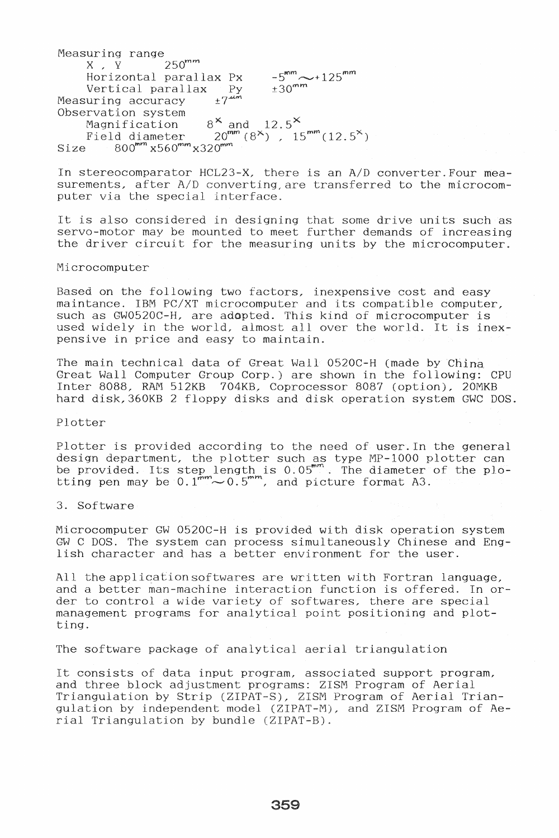Measuring range  $X$ ,  $\overline{Y}$  250<sup>mm</sup> Horizontal parallax Px Vertical parallax Py<br>uring accuracy  $+7^{4m}$ Measuring accuracy  $-5^{mm}$   $\sim$  + 125 $^{mm}$  $±30<sup>mm</sup>$ Observation system Magnification  $8^{\times}$  and 12.5<sup>X</sup> Field diameter  $20^{mm} (8^{\times})$ ,  $15^{mm} (12.5^{\times})$ Size  $800^{mm}$  x560 $^{mm}$ x320 $^{mm}$ 

In stereocomparator HCL23-X, there is an *AID* converter. Four measurements, after *AID* converting,are transferred to the microcomputer via the special interface.

It is also considered in designing that some drive units such as servo-motor may be mounted to meet further demands of increasing the driver circuit for the measuring units by the microcomputer.

#### Microcomputer

Based on the following two factors, inexpensive cost and easy maintance. IBM *PC/XT* microcomputer and its compatible computer, such as GW0520C-H, are adopted. This kind of microcomputer is used widely in the world, almost allover the world. It is inexpensive in price and easy to maintain.

The main technical data of Great Wall 0520C-H (made by China Great Wall Computer Group Corp.) are shown in the following: CPU Inter S088, RAM 512KB 704KB, Coprocessor 8087 (option), 20MKB hard disk,360KB 2 floppy disks and disk operation system GWC DOS.

Plotter

Plotter is provided according to the need of user. In the general design department, the plotter such as type MP-I000 plotter can be provided. Its step length is 0.05". The diameter of the plotting pen may be  $0.1^{mm} \sim 0.5^{mm}$ , and picture format A3.

3. Software

Microcomputer GW 0520C-H is provided with disk operation system GW C DOS. The system can process simultaneously Chinese and English character and has a better environment for the user.

All the application softwares are written with Fortran language, and a better man-machine interaction function is offered. In order to control a wide variety of softwares, there are special management programs for analytical point positioning and plotting.

The software package of analytical aerial triangulation

It consists of data input program, associated support program, and three block adjustment programs: Z18M Program of Aerial Triangulation by Strip (Z1PAT-S), 2ISM Program of Aerial Triangulation by independent model (ZIPAT-M), and 2ISM Program of Aerial Triangulation by bundle (ZIPAT-B).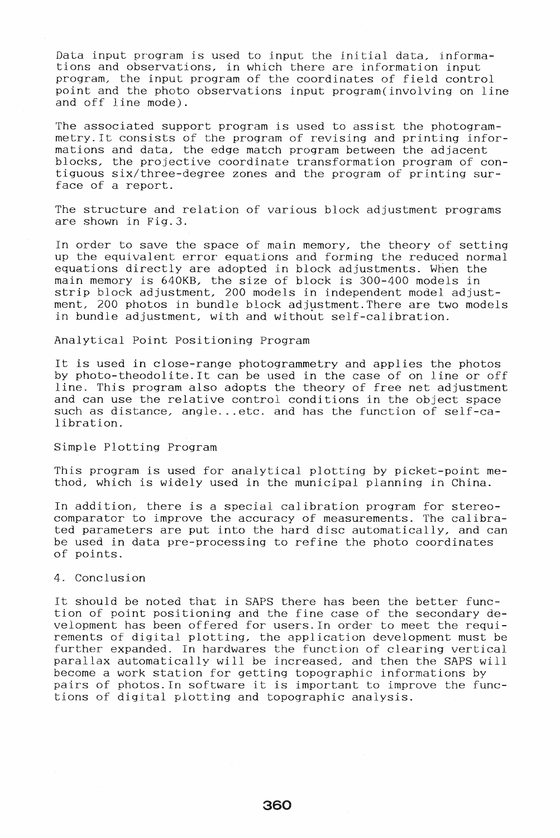Data input program is used to input the initial data, informations and observations, in which there are information input program, the input program of the coordinates of field control point and the photo observations input program(involving on line and off line mode).

The associated support program is used to assist the photogrammetry.lt consists of the program of revising and printing informations and data, the edge match program between the adjacent blocks, the projective coordinate transformation program of contiguous six/three-degree zones and the program of printing surface of a report.

The structure and relation of various block adjustment programs are shown in Fig.3.

In order to save the space of main memory, the theory of setting up the equivalent error equations and forming the reduced normal equations directly are adopted in block adjustments. When the main memory is 640KB, the size of block is 300-400 models in strip block adjustment, 200 models in independent model adjustment, 200 photos in bundle block adjustment. There are two models in bundle adjustment, with and without self-calibration.

#### Analytical Point Positioning Program

It is used in close-range photogrammetry and applies the photos by photo-theodolite. It can be used in the case of on line or off line. This program also adopts the theory of free net adjustment and can use the relative control conditions in the object space such as distance, angle... etc. and has the function of self-calibration.

## Simple Plotting Program

This program is used for analytical plotting by picket-point method, which is widely used in the municipal planning in China.

In addition, there is a special calibration program for stereocomparator to improve the accuracy of measurements. The calibrated parameters are put into the hard disc automatically, and can be used in data pre-processing to refine the photo coordinates of points.

## 4. Conclusion

It should be noted that in SAPS there has been the better function of point positioning and the fine case of the secondary development has been offered for users. In order to meet the requirements of digital plotting, the application development must be further expanded. In hardwares the function of clearing vertical parallax automatically will be increased, and then the SAPS will become a work station for getting topographic informations by pairs of photos. In software it is important to improve the functions of digital plotting and topographic analysis.